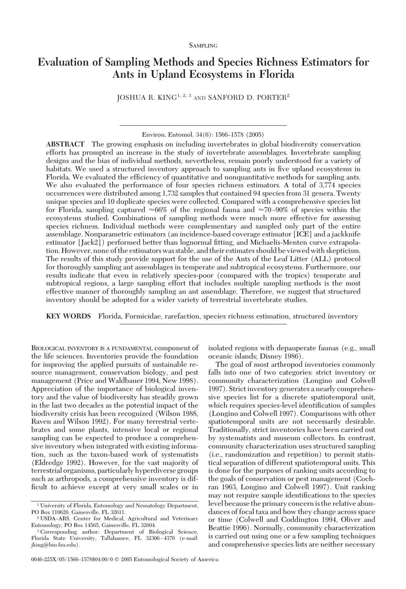# **Evaluation of Sampling Methods and Species Richness Estimators for Ants in Upland Ecosystems in Florida**

JOSHUA R. KING<sup>1, 2, 3</sup> AND SANFORD D. PORTER<sup>2</sup>

Environ. Entomol. 34(6): 1566-1578 (2005)

**ABSTRACT** The growing emphasis on including invertebrates in global biodiversity conservation efforts has prompted an increase in the study of invertebrate assemblages. Invertebrate sampling designs and the bias of individual methods, nevertheless, remain poorly understood for a variety of habitats. We used a structured inventory approach to sampling ants in five upland ecosystems in Florida. We evaluated the efficiency of quantitative and nonquantitative methods for sampling ants. We also evaluated the performance of four species richness estimators. A total of 3,774 species occurrences were distributed among 1,732 samples that contained 94 species from 31 genera. Twenty unique species and 10 duplicate species were collected. Compared with a comprehensive species list for Florida, sampling captured  $\approx 66\%$  of the regional fauna and  $\approx 70-90\%$  of species within the ecosystems studied. Combinations of sampling methods were much more effective for assessing species richness. Individual methods were complementary and sampled only part of the entire assemblage. Nonparametric estimators (an incidence-based coverage estimator [ICE] and a jackknife estimator  $\lceil \text{Jack2} \rceil$  performed better than lognormal fitting, and Michaelis-Menten curve extrapolation. However, none of the estimators was stable, and their estimates should be viewed with skepticism. The results of this study provide support for the use of the Ants of the Leaf Litter (ALL) protocol for thoroughly sampling ant assemblages in temperate and subtropical ecosystems. Furthermore, our results indicate that even in relatively species-poor (compared with the tropics) temperate and subtropical regions, a large sampling effort that includes multiple sampling methods is the most effective manner of thoroughly sampling an ant assemblage. Therefore, we suggest that structured inventory should be adopted for a wider variety of terrestrial invertebrate studies.

**KEY WORDS** Florida, Formicidae, rarefaction, species richness estimation, structured inventory

BIOLOGICAL INVENTORY IS A FUNDAMENTAL component of the life sciences. Inventories provide the foundation for improving the applied pursuits of sustainable resource management, conservation biology, and pest management (Price and Waldbauer 1994, New 1998). Appreciation of the importance of biological inventory and the value of biodiversity has steadily grown in the last two decades as the potential impact of the biodiversity crisis has been recognized (Wilson 1988, Raven and Wilson 1992). For many terrestrial vertebrates and some plants, intensive local or regional sampling can be expected to produce a comprehensive inventory when integrated with existing information, such as the taxon-based work of systematists (Eldredge 1992). However, for the vast majority of terrestrial organisms, particularly hyperdiverse groups such as arthropods, a comprehensive inventory is difficult to achieve except at very small scales or in

isolated regions with depauperate faunas (e.g., small oceanic islands; Disney 1986).

The goal of most arthropod inventories commonly falls into one of two categories: strict inventory or community characterization (Longino and Colwell 1997). Strict inventory generates a nearly comprehensive species list for a discrete spatiotemporal unit, which requires species-level identification of samples (Longino and Colwell 1997). Comparisons with other spatiotemporal units are not necessarily desirable. Traditionally, strict inventories have been carried out by systematists and museum collectors. In contrast, community characterization uses structured sampling (i.e., randomization and repetition) to permit statistical separation of different spatiotemporal units. This is done for the purposes of ranking units according to the goals of conservation or pest management (Cochran 1963, Longino and Colwell 1997). Unit ranking may not require sample identifications to the species level because the primary concernis the relative abundances of focal taxa and how they change across space or time (Colwell and Coddington 1994, Oliver and Beattie 1996). Normally, community characterization is carried out using one or a few sampling techniques and comprehensive species lists are neither necessary

<sup>1</sup> University of Florida, Entomology and Nematology Department, PO Box 110620, Gainesville, FL 32611.

<sup>&</sup>lt;sup>2</sup> USDA-ARS, Center for Medical, Agricultural and Veterinary Entomology, PO Box 14565, Gainesville, FL 32604.

<sup>3</sup> Corresponding author: Department of Biological Science, Florida State University, Tallahassee, FL 32306-4370 (e-mail: jking@bio.fsu.edu).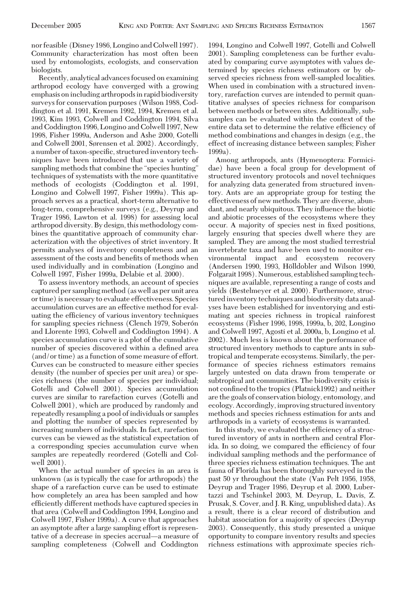nor feasible (Disney 1986, Longino and Colwell 1997). Community characterization has most often been used by entomologists, ecologists, and conservation biologists.

Recently, analytical advances focused on examining arthropod ecology have converged with a growing emphasis on including arthropods in rapid biodiversity surveys for conservation purposes (Wilson 1988, Coddington et al. 1991, Kremen 1992, 1994, Kremen et al. 1993, Kim 1993, Colwell and Coddington 1994, Silva and Coddington 1996, Longino and Colwell 1997, New 1998, Fisher 1999a, Anderson and Ashe 2000, Gotelli and Colwell 2001, Sørensen et al. 2002). Accordingly, a number of taxon-specific, structured inventory techniques have been introduced that use a variety of sampling methods that combine the "species hunting" techniques of systematists with the more quantitative methods of ecologists (Coddington et al. 1991, Longino and Colwell 1997, Fisher 1999a). This approach serves as a practical, short-term alternative to long-term, comprehensive surveys (e.g., Deyrup and Trager 1986, Lawton et al. 1998) for assessing local arthropod diversity. By design, this methodology combines the quantitative approach of community characterization with the objectives of strict inventory. It permits analyses of inventory completeness and an assessment of the costs and benefits of methods when used individually and in combination (Longino and Colwell 1997, Fisher 1999a, Delabie et al. 2000).

To assess inventory methods, an account of species captured per sampling method (as well as per unit area or time) is necessary to evaluate effectiveness. Species accumulation curves are an effective method for evaluating the efficiency of various inventory techniques for sampling species richness (Clench 1979, Soberón and Llorente 1993, Colwell and Coddington 1994). A species accumulation curve is a plot of the cumulative number of species discovered within a defined area (and/or time) as a function of some measure of effort. Curves can be constructed to measure either species density (the number of species per unit area) or species richness (the number of species per individual; Gotelli and Colwell 2001). Species accumulation curves are similar to rarefaction curves (Gotelli and Colwell 2001), which are produced by randomly and repeatedly resampling a pool of individuals or samples and plotting the number of species represented by increasing numbers of individuals. In fact, rarefaction curves can be viewed as the statistical expectation of a corresponding species accumulation curve when samples are repeatedly reordered (Gotelli and Colwell 2001).

When the actual number of species in an area is unknown (as is typically the case for arthropods) the shape of a rarefaction curve can be used to estimate how completely an area has been sampled and how efficiently different methods have captured species in that area (Colwell and Coddington 1994, Longino and Colwell 1997, Fisher 1999a). A curve that approaches an asymptote after a large sampling effort is representative of a decrease in species accrual—a measure of sampling completeness (Colwell and Coddington

1994, Longino and Colwell 1997, Gotelli and Colwell 2001). Sampling completeness can be further evaluated by comparing curve asymptotes with values determined by species richness estimators or by observed species richness from well-sampled localities. When used in combination with a structured inventory, rarefaction curves are intended to permit quantitative analyses of species richness for comparison between methods or between sites. Additionally, subsamples can be evaluated within the context of the entire data set to determine the relative efficiency of method combinations and changes in design (e.g., the effect of increasing distance between samples; Fisher 1999a).

Among arthropods, ants (Hymenoptera: Formicidae) have been a focal group for development of structured inventory protocols and novel techniques for analyzing data generated from structured inventory. Ants are an appropriate group for testing the effectiveness of new methods. They are diverse, abundant, and nearly ubiquitous. They influence the biotic and abiotic processes of the ecosystems where they occur. A majority of species nest in fixed positions, largely ensuring that species dwell where they are sampled. They are among the most studied terrestrial invertebrate taxa and have been used to monitor environmental impact and ecosystem recovery (Andersen 1990, 1993, Hölldobler and Wilson 1990, Folgarait 1998). Numerous, established sampling techniques are available, representing a range of costs and yields (Bestelmeyer et al. 2000). Furthermore, structured inventory techniques and biodiversity data analyses have been established for inventorying and estimating ant species richness in tropical rainforest ecosystems (Fisher 1996, 1998, 1999a, b, 202, Longino and Colwell 1997, Agosti et al. 2000a, b, Longino et al. 2002). Much less is known about the performance of structured inventory methods to capture ants in subtropical and temperate ecosystems. Similarly, the performance of species richness estimators remains largely untested on data drawn from temperate or subtropical ant communities. The biodiversity crisis is not confined to the tropics (Platnick1992) and neither are the goals of conservation biology, entomology, and ecology. Accordingly, improving structured inventory methods and species richness estimation for ants and arthropods in a variety of ecosystems is warranted.

In this study, we evaluated the efficiency of a structured inventory of ants in northern and central Florida. In so doing, we compared the efficiency of four individual sampling methods and the performance of three species richness estimation techniques. The ant fauna of Florida has been thoroughly surveyed in the past 50 yr throughout the state (Van Pelt 1956, 1958, Deyrup and Trager 1986, Deyrup et al. 2000, Lubertazzi and Tschinkel 2003, M. Deyrup, L. Davis, Z. Prusak, S. Cover, and J. R. King, unpublished data). As a result, there is a clear record of distribution and habitat association for a majority of species (Deyrup 2003). Consequently, this study presented a unique opportunity to compare inventory results and species richness estimations with approximate species rich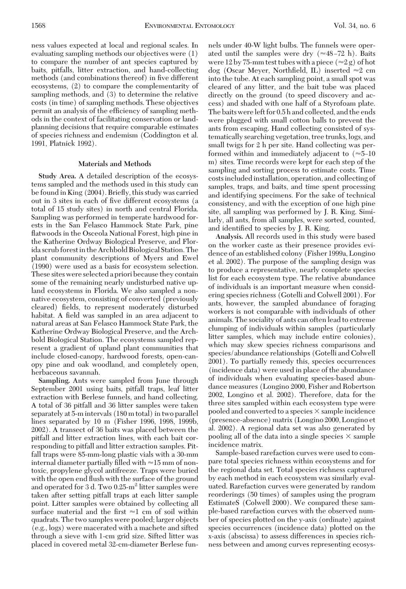ness values expected at local and regional scales. In evaluating sampling methods our objectives were (1) to compare the number of ant species captured by baits, pitfalls, litter extraction, and hand-collecting methods (and combinations thereof) in five different ecosystems, (2) to compare the complementarity of sampling methods, and (3) to determine the relative costs (in time) of sampling methods. These objectives permit an analysis of the efficiency of sampling methods in the context of facilitating conservation or landplanning decisions that require comparable estimates of species richness and endemism (Coddington et al. 1991, Platnick 1992).

#### **Materials and Methods**

**Study Area.** A detailed description of the ecosystems sampled and the methods used in this study can be found in King (2004). Brießy, this study was carried out in 3 sites in each of five different ecosystems (a total of 15 study sites) in north and central Florida. Sampling was performed in temperate hardwood forests in the San Felasco Hammock State Park, pine flatwoods in the Osceola National Forest, high pine in the Katherine Ordway Biological Preserve, and Florida scrub forestin the Archbold Biological Station. The plant community descriptions of Myers and Ewel (1990) were used as a basis for ecosystem selection. These sites were selected a priori because they contain some of the remaining nearly undisturbed native upland ecosystems in Florida. We also sampled a nonnative ecosystem, consisting of converted (previously cleared) fields, to represent moderately disturbed habitat. A field was sampled in an area adjacent to natural areas at San Felasco Hammock State Park, the Katherine Ordway Biological Preserve, and the Archbold Biological Station. The ecosystems sampled represent a gradient of upland plant communities that include closed-canopy, hardwood forests, open-canopy pine and oak woodland, and completely open, herbaceous savannah.

**Sampling.** Ants were sampled from June through September 2001 using baits, pitfall traps, leaf litter extraction with Berlese funnels, and hand collecting. A total of 36 pitfall and 36 litter samples were taken separately at 5-m intervals (180 m total) in two parallel lines separated by 10 m (Fisher 1996, 1998, 1999b, 2002). A transect of 36 baits was placed between the pitfall and litter extraction lines, with each bait corresponding to pitfall and litter extraction samples. Pitfall traps were 85-mm-long plastic vials with a 30-mm internal diameter partially filled with  $\approx$  15 mm of nontoxic, propylene glycol antifreeze. Traps were buried with the open end flush with the surface of the ground and operated for 3 d. Two  $0.25 \text{m}^2$  litter samples were taken after setting pitfall traps at each litter sample point. Litter samples were obtained by collecting all surface material and the first  $\approx$ 1 cm of soil within quadrats. The two samples were pooled; larger objects (e.g., logs) were macerated with a machete and sifted through a sieve with 1-cm grid size. Sifted litter was placed in covered metal 32-cm-diameter Berlese funnels under 40-W light bulbs. The funnels were operated until the samples were dry  $(\approx 48 - 72 \text{ h})$ . Baits were 12 by 75-mm test tubes with a piece  $(\approx 2 g)$  of hot dog (Oscar Meyer, Northfield, IL) inserted  $\approx 2$  cm into the tube. At each sampling point, a small spot was cleared of any litter, and the bait tube was placed directly on the ground (to speed discovery and access) and shaded with one half of a Styrofoam plate. The baits wereleft for 0.5 h and collected, and the ends were plugged with small cotton balls to prevent the ants from escaping. Hand collecting consisted of systematically searching vegetation, tree trunks, logs, and small twigs for 2 h per site. Hand collecting was performed within and immediately adjacent to  $(\approx 5-10)$ m) sites. Time records were kept for each step of the sampling and sorting process to estimate costs. Time costsincludedinstallation, operation, and collecting of samples, traps, and baits, and time spent processing and identifying specimens. For the sake of technical consistency, and with the exception of one high pine site, all sampling was performed by J. R. King. Similarly, all ants, from all samples, were sorted, counted, and identified to species by J. R. King.

**Analysis.** All records used in this study were based on the worker caste as their presence provides evidence of an established colony (Fisher 1999a, Longino et al. 2002). The purpose of the sampling design was to produce a representative, nearly complete species list for each ecosystem type. The relative abundance of individuals is an important measure when considering species richness (Gotelli and Colwell 2001). For ants, however, the sampled abundance of foraging workers is not comparable with individuals of other animals. The sociality of ants can often lead to extreme clumping of individuals within samples (particularly litter samples, which may include entire colonies), which may skew species richness comparisons and species/abundance relationships (Gotelli and Colwell 2001). To partially remedy this, species occurrences (incidence data) were used in place of the abundance of individuals when evaluating species-based abundance measures (Longino 2000, Fisher and Robertson 2002, Longino et al. 2002). Therefore, data for the three sites sampled within each ecosystem type were pooled and converted to a species  $\times$  sample incidence (presence-absence)matrix (Longino 2000, Longino et al. 2002). A regional data set was also generated by pooling all of the data into a single species  $\times$  sample incidence matrix.

Sample-based rarefaction curves were used to compare total species richness within ecosystems and for the regional data set. Total species richness captured by each method in each ecosystem was similarly evaluated. Rarefaction curves were generated by random reorderings (50 times) of samples using the program EstimateS (Colwell 2000). We compared these sample-based rarefaction curves with the observed number of species plotted on the y-axis (ordinate) against species occurrences (incidence data) plotted on the x-axis (abscissa) to assess differences in species richness between and among curves representing ecosys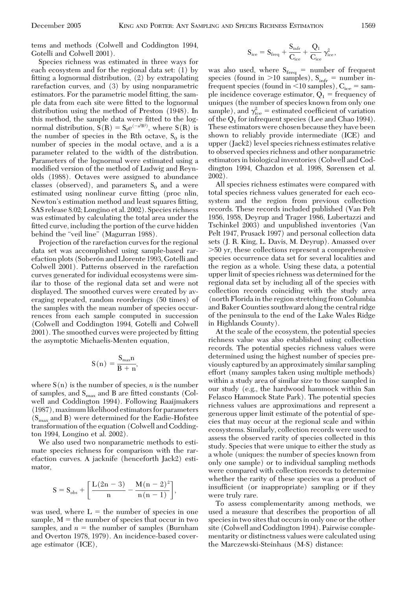tems and methods (Colwell and Coddington 1994, Gotelli and Colwell 2001).

Species richness was estimated in three ways for each ecosystem and for the regional data set: (1) by fitting a lognormal distribution,  $(2)$  by extrapolating rarefaction curves, and (3) by using nonparametric estimators. For the parametric model fitting, the sample data from each site were fitted to the lognormal distribution using the method of Preston (1948). In this method, the sample data were fitted to the lognormal distribution,  $S(R) = S_0 e^{(-a^2 R^2)}$ , where  $S(R)$  is the number of species in the Rth octave,  $S_0$  is the number of species in the modal octave, and a is a parameter related to the width of the distribution. Parameters of the lognormal were estimated using a modified version of the method of Ludwig and Reynolds (1988). Octaves were assigned to abundance classes (observed), and parameters  $S_0$  and a were estimated using nonlinear curve fitting (proc nlin, Newton's estimation method and least squares fitting, SAS release 8.02; Longino et al. 2002). Species richness was estimated by calculating the total area under the fitted curve, including the portion of the curve hidden behind the "veil line" (Magurran 1988).

Projection of the rarefaction curves for the regional data set was accomplished using sample-based rarefaction plots (Soberón and Llorente 1993, Gotelli and Colwell 2001). Patterns observed in the rarefaction curves generated for individual ecosystems were similar to those of the regional data set and were not displayed. The smoothed curves were created by averaging repeated, random reorderings (50 times) of the samples with the mean number of species occurrences from each sample computed in succession (Colwell and Coddington 1994, Gotelli and Colwell 2001). The smoothed curves were projected by fitting the asymptotic Michaelis-Menten equation,

$$
S\left( n\right) =\frac{S_{\max }n}{B+n},
$$

where  $S(n)$  is the number of species, *n* is the number of samples, and  $S_{\text{max}}$  and B are fitted constants (Colwell and Coddington 1994). Following Raaijmakers (1987),maximumlikelihood estimators for parameters  $(S<sub>max</sub>$  and B) were determined for the Eadie-Hofstee transformation of the equation (Colwell and Coddington 1994, Longino et al. 2002).

We also used two nonparametric methods to estimate species richness for comparison with the rarefaction curves. A jacknife (henceforth Jack2) estimator,

$$
S=S_{obs}+\bigg[\frac{L(2n-3)}{n}-\frac{M(n-2)^2}{n(n-1)}\bigg],
$$

was used, where  $L =$  the number of species in one sample,  $M =$  the number of species that occur in two samples, and  $n =$  the number of samples (Burnham and Overton 1978, 1979). An incidence-based coverage estimator (ICE),

$$
S_{\rm ice} = S_{\rm freq} + \frac{S_{\rm infr}}{C_{\rm ice}} + \frac{Q_1}{C_{\rm ice}}\, \gamma_{\rm ice}^2,
$$

was also used, where  $S_{freq}$  = number of frequent species (found in  $>10$  samples),  $S_{\text{infr}} =$  number infrequent species (found in  $\leq 10$  samples),  $C_{ice}$  = sample incidence coverage estimator,  $Q_1$  = frequency of uniques (the number of species known from only one sample), and  $\gamma_{\rm ice}^2$  = estimated coefficient of variation of the  $Q_1$  for infrequent species (Lee and Chao 1994). These estimators were chosen because they have been shown to reliably provide intermediate (ICE) and upper (Jack2) level species richness estimates relative to observed species richness and other nonparametric estimators in biological inventories (Colwell and Coddington 1994, Chazdon et al. 1998, Sørensen et al. 2002).

All species richness estimates were compared with total species richness values generated for each ecosystem and the region from previous collection records. These records included published (Van Pelt 1956, 1958, Deyrup and Trager 1986, Lubertazzi and Tschinkel 2003) and unpublished inventories (Van Pelt 1947, Prusack 1997) and personal collection data sets (J. R. King, L. Davis, M. Deyrup). Amassed over 50 yr, these collections represent a comprehensive species occurrence data set for several localities and the region as a whole. Using these data, a potential upper limit of species richness was determined for the regional data set by including all of the species with collection records coinciding with the study area (north Florida in the region stretching from Columbia and Baker Counties southward along the central ridge of the peninsula to the end of the Lake Wales Ridge in Highlands County).

At the scale of the ecosystem, the potential species richness value was also established using collection records. The potential species richness values were determined using the highest number of species previously captured by an approximately similar sampling effort (many samples taken using multiple methods) within a study area of similar size to those sampled in our study (e.g., the hardwood hammock within San Felasco Hammock State Park). The potential species richness values are approximations and represent a generous upper limit estimate of the potential of species that may occur at the regional scale and within ecosystems. Similarly, collection records were used to assess the observed rarity of species collected in this study. Species that were unique to either the study as a whole (uniques: the number of species known from only one sample) or to individual sampling methods were compared with collection records to determine whether the rarity of these species was a product of insufficient (or inappropriate) sampling or if they were truly rare.

To assess complementarity among methods, we used a measure that describes the proportion of all species in two sites that occurs in only one or the other site (Colwell and Coddington 1994). Pairwise complementarity or distinctness values were calculated using the Marczewski-Steinhaus (M-S) distance: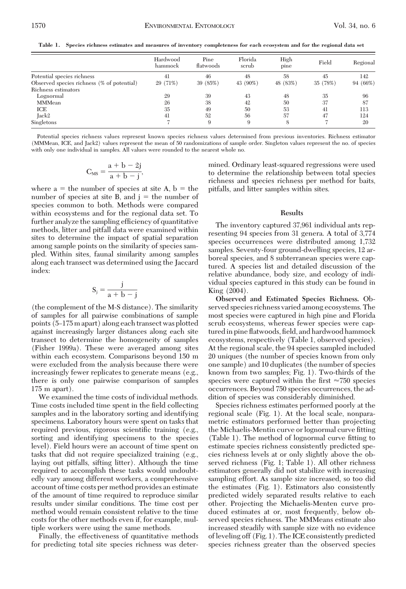**Table 1. Species richness estimates and measures of inventory completeness for each ecosystem and for the regional data set**

|                                            | Hardwood<br>hammock | Pine<br>flatwoods | Florida<br>serub | High<br>pine | Field    | Regional |
|--------------------------------------------|---------------------|-------------------|------------------|--------------|----------|----------|
| Potential species richness                 | 41                  | 46                | 48               | 58           | 45       | 142      |
| Observed species richness (% of potential) | 29 (71%)            | 39 (85%)          | 43 (90%)         | 48 (83%)     | 35 (78%) | 94 (66%) |
| Richness estimators                        |                     |                   |                  |              |          |          |
| Lognormal                                  | 29                  | 39                | 43               | 48           | 35       | 96       |
| <b>MMMean</b>                              | 26                  | 38                | 42               | 50           | 37       | 87       |
| ICE                                        | 35                  | 49                | 50               | 53           | 41       | 113      |
| Jack2                                      | 41                  | 52                | 56               | 57           | 47       | 124      |
| Singletons                                 |                     | 9                 | 9                | 8            |          | 20       |

Potential species richness values represent known species richness values determined from previous inventories. Richness estimator (MMMean, ICE, and Jack2) values represent the mean of 50 randomizations of sample order. Singleton values represent the no. of species with only one individual in samples. All values were rounded to the nearest whole no.

$$
C_{MS} = \frac{a+b-2j}{a+b-j},
$$

where  $a =$  the number of species at site A,  $b =$  the number of species at site B, and  $j =$  the number of species common to both. Methods were compared within ecosystems and for the regional data set. To further analyze the sampling efficiency of quantitative methods, litter and pitfall data were examined within sites to determine the impact of spatial separation among sample points on the similarity of species sampled. Within sites, faunal similarity among samples along each transect was determined using the Jaccard index:

$$
S_j = \frac{j}{a+b-j}
$$

(the complement of the M-S distance). The similarity of samples for all pairwise combinations of sample points (5Ð175 m apart) along each transect was plotted against increasingly larger distances along each site transect to determine the homogeneity of samples (Fisher 1999a). These were averaged among sites within each ecosystem. Comparisons beyond 150 m were excluded from the analysis because there were increasingly fewer replicates to generate means (e.g., there is only one pairwise comparison of samples 175 m apart).

We examined the time costs of individual methods. Time costs included time spent in the field collecting samples and in the laboratory sorting and identifying specimens. Laboratory hours were spent on tasks that required previous, rigorous scientific training (e.g., sorting and identifying specimens to the species level). Field hours were an account of time spent on tasks that did not require specialized training (e.g., laying out pitfalls, sifting litter). Although the time required to accomplish these tasks would undoubtedly vary among different workers, a comprehensive account of time costs per method provides an estimate of the amount of time required to reproduce similar results under similar conditions. The time cost per method would remain consistent relative to the time costs for the other methods even if, for example, multiple workers were using the same methods.

Finally, the effectiveness of quantitative methods for predicting total site species richness was determined. Ordinary least-squared regressions were used to determine the relationship between total species richness and species richness per method for baits, pitfalls, and litter samples within sites.

### **Results**

The inventory captured 37,961 individual ants representing 94 species from 31 genera. A total of 3,774 species occurrences were distributed among 1,732 samples. Seventy-four ground-dwelling species, 12 arboreal species, and 8 subterranean species were captured. A species list and detailed discussion of the relative abundance, body size, and ecology of individual species captured in this study can be found in King (2004).

**Observed and Estimated Species Richness.** Observed species richness varied among ecosystems. The most species were captured in high pine and Florida scrub ecosystems, whereas fewer species were captured in pine flatwoods, field, and hardwood hammock ecosystems, respectively (Table 1, observed species). At the regional scale, the 94 species sampled included 20 uniques (the number of species known from only one sample) and 10 duplicates (the number of species known from two samples; Fig. 1). Two-thirds of the species were captured within the first  $\approx 750$  species occurrences. Beyond 750 species occurrences, the addition of species was considerably diminished.

Species richness estimates performed poorly at the regional scale (Fig. 1). At the local scale, nonparametric estimators performed better than projecting the Michaelis-Mentin curve or lognormal curve fitting (Table 1). The method of lognormal curve fitting to estimate species richness consistently predicted species richness levels at or only slightly above the observed richness (Fig. 1; Table 1). All other richness estimators generally did not stabilize with increasing sampling effort. As sample size increased, so too did the estimates (Fig. 1). Estimators also consistently predicted widely separated results relative to each other. Projecting the Michaelis-Menten curve produced estimates at or, most frequently, below observed species richness. The MMMeans estimate also increased steadily with sample size with no evidence of leveling off (Fig. 1). The ICE consistently predicted species richness greater than the observed species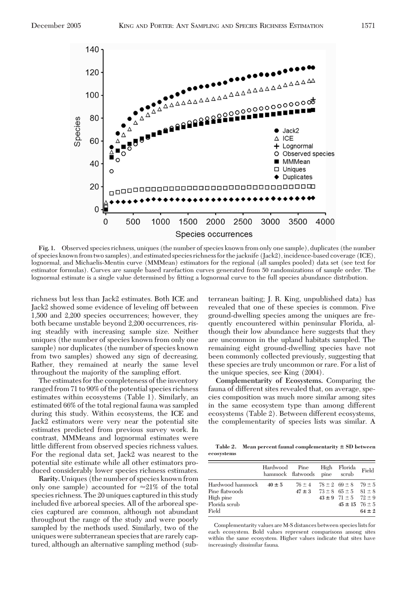

**Fig. 1.** Observed species richness, uniques (the number of species known from only one sample), duplicates (the number of species known from two samples), and estimated species richness for the jacknife (Jack2), incidence-based coverage (ICE), lognormal, and Michaelis-Mentin curve (MMMean) estimators for the regional (all samples pooled) data set (see text for estimator formulas). Curves are sample based rarefaction curves generated from 50 randomizations of sample order. The lognormal estimate is a single value determined by fitting a lognormal curve to the full species abundance distribution.

richness but less than Jack2 estimates. Both ICE and Jack2 showed some evidence of leveling off between 1,500 and 2,200 species occurrences; however, they both became unstable beyond 2,200 occurrences, rising steadily with increasing sample size. Neither uniques (the number of species known from only one sample) nor duplicates (the number of species known from two samples) showed any sign of decreasing. Rather, they remained at nearly the same level throughout the majority of the sampling effort.

The estimates for the completeness of the inventory ranged from 71 to 90% of the potential species richness estimates within ecosystems (Table 1). Similarly, an estimated 66% of the total regional fauna was sampled during this study. Within ecosystems, the ICE and Jack2 estimators were very near the potential site estimates predicted from previous survey work. In contrast, MMMeans and lognormal estimates were little different from observed species richness values. For the regional data set, Jack2 was nearest to the potential site estimate while all other estimators produced considerably lower species richness estimates.

**Rarity.** Uniques (the number of species known from only one sample) accounted for  $\approx 21\%$  of the total species richness. The 20 uniques captured in this study included five arboreal species. All of the arboreal species captured are common, although not abundant throughout the range of the study and were poorly sampled by the methods used. Similarly, two of the uniques were subterranean species that are rarely captured, although an alternative sampling method (subterranean baiting; J. R. King, unpublished data) has revealed that one of these species is common. Five ground-dwelling species among the uniques are frequently encountered within peninsular Florida, although their low abundance here suggests that they are uncommon in the upland habitats sampled. The remaining eight ground-dwelling species have not been commonly collected previously, suggesting that these species are truly uncommon or rare. For a list of the unique species, see King (2004).

**Complementarity of Ecosystems.** Comparing the fauna of different sites revealed that, on average, species composition was much more similar among sites in the same ecosystem type than among different ecosystems (Table 2). Between different ecosystems, the complementarity of species lists was similar. A

**Table 2. Mean percent faunal complementarity SD between ecosystems**

|                                                                                      | Hardwood Pine High Florida<br>hammock flatwoods pine scrub |                                             |                                                                                                           | Field      |
|--------------------------------------------------------------------------------------|------------------------------------------------------------|---------------------------------------------|-----------------------------------------------------------------------------------------------------------|------------|
| Hardwood hammock $40 \pm 5$<br>Pine flatwoods<br>High pine<br>Florida scrub<br>Field |                                                            | $76 \pm 4$ $78 \pm 2$ $69 \pm 8$ $79 \pm 5$ | $47 \pm 3$ $73 \pm 8$ $65 \pm 5$ $81 \pm 8$<br>$43 \pm 9$ $71 \pm 5$ $72 \pm 9$<br>$45 \pm 15$ 76 $\pm 5$ | $64 \pm 2$ |

Complementarity values are M-S distances between species lists for each ecosystem. Bold values represent comparisons among sites within the same ecosystem. Higher values indicate that sites have increasingly dissimilar fauna.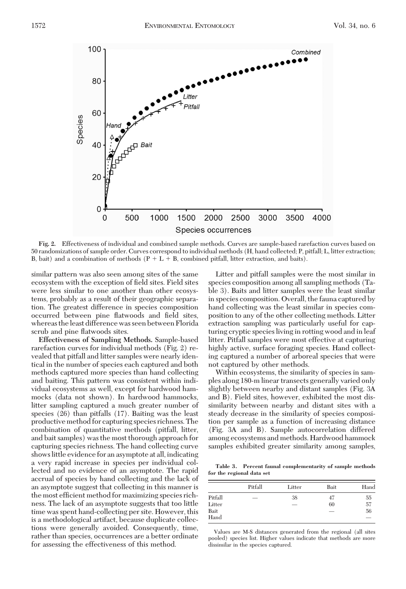

**Fig. 2.** Effectiveness of individual and combined sample methods. Curves are sample-based rarefaction curves based on 50 randomizations of sample order. Curves correspond to individual methods (H, hand collected; P, pitfall; L, litter extraction; B, bait) and a combination of methods  $(P + L + B)$ , combined pitfall, litter extraction, and baits).

similar pattern was also seen among sites of the same ecosystem with the exception of field sites. Field sites were less similar to one another than other ecosystems, probably as a result of their geographic separation. The greatest difference in species composition occurred between pine flatwoods and field sites, whereas theleast difference was seen between Florida scrub and pine flatwoods sites.

**Effectiveness of Sampling Methods.** Sample-based rarefaction curves for individual methods (Fig. 2) revealed that pitfall and litter samples were nearly identical in the number of species each captured and both methods captured more species than hand collecting and baiting. This pattern was consistent within individual ecosystems as well, except for hardwood hammocks (data not shown). In hardwood hammocks, litter sampling captured a much greater number of species (26) than pitfalls (17). Baiting was the least productive method for capturing species richness. The combination of quantitative methods (pitfall, litter, and bait samples) was the most thorough approach for capturing species richness. The hand collecting curve shows little evidence for an asymptote at all, indicating a very rapid increase in species per individual collected and no evidence of an asymptote. The rapid accrual of species by hand collecting and the lack of an asymptote suggest that collecting in this manner is the most efficient method for maximizing species richness. The lack of an asymptote suggests that too little time was spent hand-collecting per site. However, this is a methodological artifact, because duplicate collections were generally avoided. Consequently, time, rather than species, occurrences are a better ordinate for assessing the effectiveness of this method.

Litter and pitfall samples were the most similar in species composition among all sampling methods (Table 3). Baits and litter samples were the least similar in species composition. Overall, the fauna captured by hand collecting was the least similar in species composition to any of the other collecting methods. Litter extraction sampling was particularly useful for capturing cryptic species living in rotting wood and in leaf litter. Pitfall samples were most effective at capturing highly active, surface foraging species. Hand collecting captured a number of arboreal species that were not captured by other methods.

Within ecosystems, the similarity of species in samples along 180-m linear transects generally varied only slightly between nearby and distant samples (Fig. 3A and B). Field sites, however, exhibited the most dissimilarity between nearby and distant sites with a steady decrease in the similarity of species composition per sample as a function of increasing distance (Fig. 3A and B). Sample autocorrelation differed among ecosystems and methods. Hardwood hammock samples exhibited greater similarity among samples,

**Table 3. Percent faunal complementarity of sample methods for the regional data set**

|    | Bait<br>Litter           | Hand |
|----|--------------------------|------|
| 38 | 47                       | 55   |
|    | 60                       | 57   |
|    | $\overline{\phantom{a}}$ | 56   |
|    |                          |      |

Values are M-S distances generated from the regional (all sites pooled) species list. Higher values indicate that methods are more dissimilar in the species captured.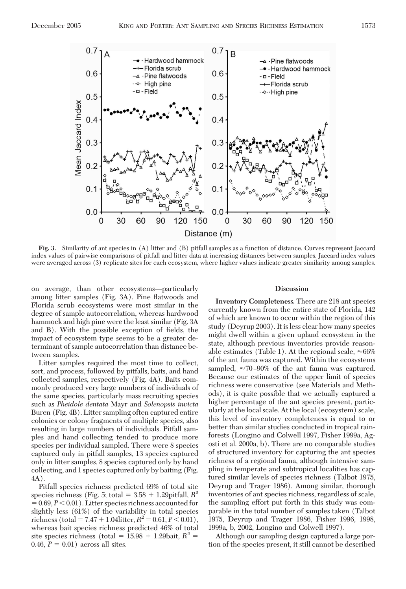

**Fig. 3.** Similarity of ant species in (A) litter and (B) pitfall samples as a function of distance. Curves represent Jaccard index values of pairwise comparisons of pitfall and litter data at increasing distances between samples. Jaccard index values were averaged across (3) replicate sites for each ecosystem, where higher values indicate greater similarity among samples.

on average, than other ecosystems-particularly among litter samples (Fig. 3A). Pine ßatwoods and Florida scrub ecosystems were most similar in the degree of sample autocorrelation, whereas hardwood hammock and high pine were the least similar (Fig. 3A and B). With the possible exception of fields, the impact of ecosystem type seems to be a greater determinant of sample autocorrelation than distance between samples.

Litter samples required the most time to collect, sort, and process, followed by pitfalls, baits, and hand collected samples, respectively (Fig. 4A). Baits commonly produced very large numbers of individuals of the same species, particularly mass recruiting species such as *Pheidole dentata* Mayr and *Solenopsis invicta* Buren (Fig. 4B). Litter sampling often captured entire colonies or colony fragments of multiple species, also resulting in large numbers of individuals. Pitfall samples and hand collecting tended to produce more species per individual sampled. There were 8 species captured only in pitfall samples, 13 species captured only in litter samples, 8 species captured only by hand collecting, and 1 species captured only by baiting (Fig. 4A).

Pitfall species richness predicted 69% of total site species richness (Fig. 5; total  $= 3.58 + 1.29$ pitfall,  $R^2$  $= 0.69, P < 0.01$ ). Litter species richness accounted for slightly less (61%) of the variability in total species richness (total =  $7.47 + 1.04$ litter,  $R^2 = 0.61, P < 0.01$ ), whereas bait species richness predicted 46% of total site species richness (total =  $15.98 + 1.29$ bait,  $R^2$  = 0.46,  $P = 0.01$ ) across all sites.

#### **Discussion**

**Inventory Completeness.** There are 218 ant species currently known from the entire state of Florida, 142 of which are known to occur within the region of this study (Deyrup 2003). It is less clear how many species might dwell within a given upland ecosystem in the state, although previous inventories provide reasonable estimates (Table 1). At the regional scale,  $\approx 66\%$ of the ant fauna was captured. Within the ecosystems sampled,  $\approx$ 70-90% of the ant fauna was captured. Because our estimates of the upper limit of species richness were conservative (see Materials and Methods), it is quite possible that we actually captured a higher percentage of the ant species present, particularly at the local scale. At the local (ecosystem) scale, this level of inventory completeness is equal to or better than similar studies conducted in tropical rainforests (Longino and Colwell 1997, Fisher 1999a, Agosti et al. 2000a, b). There are no comparable studies of structured inventory for capturing the ant species richness of a regional fauna, although intensive sampling in temperate and subtropical localities has captured similar levels of species richness (Talbot 1975, Deyrup and Trager 1986). Among similar, thorough inventories of ant species richness, regardless of scale, the sampling effort put forth in this study was comparable in the total number of samples taken (Talbot 1975, Deyrup and Trager 1986, Fisher 1996, 1998, 1999a, b, 2002, Longino and Colwell 1997).

Although our sampling design captured a large portion of the species present, it still cannot be described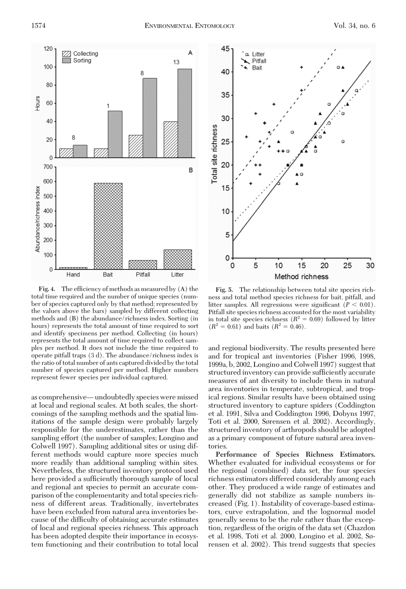

**Fig. 4.** The efficiency of methods as measured by (A) the total time required and the number of unique species (number of species captured only by that method; represented by the values above the bars) sampled by different collecting methods and (B) the abundance/richness index. Sorting (in hours) represents the total amount of time required to sort and identify specimens per method. Collecting (in hours) represents the total amount of time required to collect samples per method. It does not include the time required to operate pitfall traps (3 d). The abundance/richness index is the ratio of total number of ants captured divided by the total number of species captured per method. Higher numbers represent fewer species per individual captured.

as comprehensive—undoubtedly species were missed at local and regional scales. At both scales, the shortcomings of the sampling methods and the spatial limitations of the sample design were probably largely responsible for the underestimates, rather than the sampling effort (the number of samples; Longino and Colwell 1997). Sampling additional sites or using different methods would capture more species much more readily than additional sampling within sites. Nevertheless, the structured inventory protocol used here provided a sufficiently thorough sample of local and regional ant species to permit an accurate comparison of the complementarity and total species richness of different areas. Traditionally, invertebrates have been excluded from natural area inventories because of the difficulty of obtaining accurate estimates of local and regional species richness. This approach has been adopted despite their importance in ecosystem functioning and their contribution to total local



**Fig. 5.** The relationship between total site species richness and total method species richness for bait, pitfall, and litter samples. All regressions were significant  $(P < 0.01)$ . Pitfall site species richness accounted for the most variability in total site species richness  $(R^2 = 0.69)$  followed by litter  $(R^2 = 0.61)$  and baits  $(R^2 = 0.46)$ .

and regional biodiversity. The results presented here and for tropical ant inventories (Fisher 1996, 1998, 1999a, b, 2002, Longino and Colwell 1997) suggest that structured inventory can provide sufficiently accurate measures of ant diversity to include them in natural area inventories in temperate, subtropical, and tropical regions. Similar results have been obtained using structured inventory to capture spiders (Coddington et al. 1991, Silva and Coddington 1996, Dobyns 1997, Toti et al. 2000, Sørensen et al. 2002). Accordingly, structured inventory of arthropods should be adopted as a primary component of future natural area inventories.

**Performance of Species Richness Estimators.** Whether evaluated for individual ecosystems or for the regional (combined) data set, the four species richness estimators differed considerably among each other. They produced a wide range of estimates and generally did not stabilize as sample numbers increased (Fig. 1). Instability of coverage-based estimators, curve extrapolation, and the lognormal model generally seems to be the rule rather than the exception, regardless of the origin of the data set (Chazdon et al. 1998, Toti et al. 2000, Longino et al. 2002, Sørensen et al. 2002). This trend suggests that species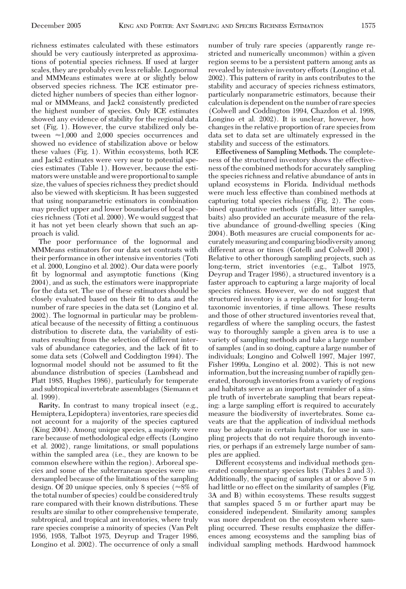richness estimates calculated with these estimators should be very cautiously interpreted as approximations of potential species richness. If used at larger scales, they are probably even less reliable. Lognormal and MMMeans estimates were at or slightly below observed species richness. The ICE estimator predicted higher numbers of species than either lognormal or MMMeans, and Jack2 consistently predicted the highest number of species. Only ICE estimates showed any evidence of stability for the regional data set (Fig. 1). However, the curve stabilized only between  $\approx 1,000$  and 2,000 species occurrences and showed no evidence of stabilization above or below these values (Fig. 1). Within ecosystems, both ICE and Jack2 estimates were very near to potential species estimates (Table 1). However, because the estimators were unstable and were proportional to sample size, the values of species richness they predict should also be viewed with skepticism. It has been suggested that using nonparametric estimators in combination may predict upper and lower boundaries of local species richness (Toti et al. 2000). We would suggest that it has not yet been clearly shown that such an approach is valid.

The poor performance of the lognormal and MMMeans estimators for our data set contrasts with their performance in other intensive inventories (Toti et al. 2000, Longino et al. 2002). Our data were poorly fit by lognormal and asymptotic functions (King 2004), and as such, the estimators were inappropriate for the data set. The use of these estimators should be closely evaluated based on their fit to data and the number of rare species in the data set (Longino et al. 2002). The lognormal in particular may be problematical because of the necessity of fitting a continuous distribution to discrete data, the variability of estimates resulting from the selection of different intervals of abundance categories, and the lack of fit to some data sets (Colwell and Coddington 1994). The lognormal model should not be assumed to fit the abundance distribution of species (Lambshead and Platt 1985, Hughes 1986), particularly for temperate and subtropical invertebrate assemblages (Siemann et al. 1999).

**Rarity.** In contrast to many tropical insect (e.g., Hemiptera, Lepidoptera) inventories, rare species did not account for a majority of the species captured (King 2004). Among unique species, a majority were rare because of methodological edge effects (Longino et al. 2002), range limitations, or small populations within the sampled area (i.e., they are known to be common elsewhere within the region). Arboreal species and some of the subterranean species were undersampled because of the limitations of the sampling design. Of 20 unique species, only 8 species ( $\approx 8\%$  of the total number of species) could be considered truly rare compared with their known distributions. These results are similar to other comprehensive temperate, subtropical, and tropical ant inventories, where truly rare species comprise a minority of species (Van Pelt 1956, 1958, Talbot 1975, Deyrup and Trager 1986, Longino et al. 2002). The occurrence of only a small

number of truly rare species (apparently range restricted and numerically uncommon) within a given region seems to be a persistent pattern among ants as revealed by intensive inventory efforts (Longino et al. 2002). This pattern of rarity in ants contributes to the stability and accuracy of species richness estimators, particularly nonparametric estimators, because their calculation is dependent on the number of rare species (Colwell and Coddington 1994, Chazdon et al. 1998, Longino et al. 2002). It is unclear, however, how changes in the relative proportion of rare species from data set to data set are ultimately expressed in the stability and success of the estimators.

**Effectiveness of Sampling Methods.** The completeness of the structured inventory shows the effectiveness of the combined methods for accurately sampling the species richness and relative abundance of ants in upland ecosystems in Florida. Individual methods were much less effective than combined methods at capturing total species richness (Fig. 2). The combined quantitative methods (pitfalls, litter samples, baits) also provided an accurate measure of the relative abundance of ground-dwelling species (King 2004). Both measures are crucial components for accurately measuring and comparing biodiversity among different areas or times (Gotelli and Colwell 2001). Relative to other thorough sampling projects, such as long-term, strict inventories (e.g., Talbot 1975, Deyrup and Trager 1986), a structured inventory is a faster approach to capturing a large majority of local species richness. However, we do not suggest that structured inventory is a replacement for long-term taxonomic inventories, if time allows. These results and those of other structured inventories reveal that, regardless of where the sampling occurs, the fastest way to thoroughly sample a given area is to use a variety of sampling methods and take a large number of samples (and in so doing, capture a large number of individuals; Longino and Colwell 1997, Majer 1997, Fisher 1999a, Longino et al. 2002). This is not new information, but the increasing number of rapidly generated, thorough inventories from a variety of regions and habitats serve as an important reminder of a simple truth of invertebrate sampling that bears repeating: a large sampling effort is required to accurately measure the biodiversity of invertebrates. Some caveats are that the application of individual methods may be adequate in certain habitats, for use in sampling projects that do not require thorough inventories, or perhaps if an extremely large number of samples are applied.

Different ecosystems and individual methods generated complementary species lists (Tables 2 and 3). Additionally, the spacing of samples at or above 5 m had little or no effect on the similarity of samples (Fig. 3A and B) within ecosystems. These results suggest that samples spaced 5 m or further apart may be considered independent. Similarity among samples was more dependent on the ecosystem where sampling occurred. These results emphasize the differences among ecosystems and the sampling bias of individual sampling methods. Hardwood hammock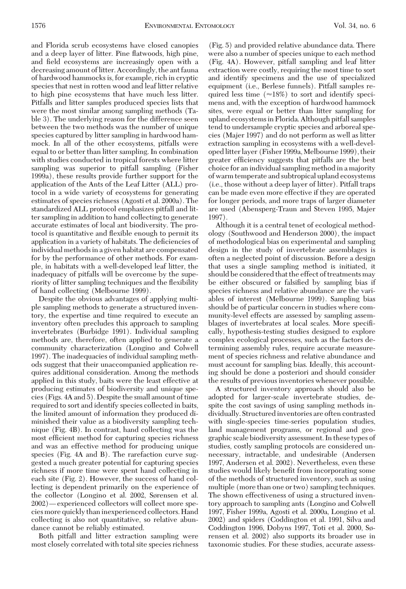and Florida scrub ecosystems have closed canopies and a deep layer of litter. Pine ßatwoods, high pine, and field ecosystems are increasingly open with a decreasing amount of litter. Accordingly, the ant fauna of hardwood hammocks is, for example, rich in cryptic species that nest in rotten wood and leaf litter relative to high pine ecosystems that have much less litter. Pitfalls and litter samples produced species lists that were the most similar among sampling methods (Table 3). The underlying reason for the difference seen between the two methods was the number of unique species captured by litter sampling in hardwood hammock. In all of the other ecosystems, pitfalls were equal to or better than litter sampling. In combination with studies conducted in tropical forests where litter sampling was superior to pitfall sampling (Fisher 1999a), these results provide further support for the application of the Ants of the Leaf Litter (ALL) protocol in a wide variety of ecosystems for generating estimates of species richness (Agosti et al. 2000a). The standardized ALL protocol emphasizes pitfall and litter sampling in addition to hand collecting to generate accurate estimates of local ant biodiversity. The protocol is quantitative and ßexible enough to permit its application in a variety of habitats. The deficiencies of individual methods in a given habitat are compensated for by the performance of other methods. For example, in habitats with a well-developed leaf litter, the inadequacy of pitfalls will be overcome by the superiority of litter sampling techniques and the ßexibility of hand collecting (Melbourne 1999).

Despite the obvious advantages of applying multiple sampling methods to generate a structured inventory, the expertise and time required to execute an inventory often precludes this approach to sampling invertebrates (Burbidge 1991). Individual sampling methods are, therefore, often applied to generate a community characterization (Longino and Colwell 1997). The inadequacies of individual sampling methods suggest that their unaccompanied application requires additional consideration. Among the methods applied in this study, baits were the least effective at producing estimates of biodiversity and unique species (Figs. 4A and 5). Despite the small amount of time required to sort and identify species collected in baits, the limited amount of information they produced diminished their value as a biodiversity sampling technique (Fig. 4B). In contrast, hand collecting was the most efficient method for capturing species richness and was an effective method for producing unique species (Fig. 4A and B). The rarefaction curve suggested a much greater potential for capturing species richness if more time were spent hand collecting in each site (Fig. 2). However, the success of hand collecting is dependent primarily on the experience of the collector (Longino et al. 2002, Sørensen et al. 2002)—experienced collectors will collect more species more quickly thaninexperienced collectors. Hand collecting is also not quantitative, so relative abundance cannot be reliably estimated.

Both pitfall and litter extraction sampling were most closely correlated with total site species richness (Fig. 5) and provided relative abundance data. There were also a number of species unique to each method (Fig. 4A). However, pitfall sampling and leaf litter extraction were costly, requiring the most time to sort and identify specimens and the use of specialized equipment (i.e., Berlese funnels). Pitfall samples required less time  $(\approx 18\%)$  to sort and identify specimens and, with the exception of hardwood hammock sites, were equal or better than litter sampling for upland ecosystems in Florida. Although pitfall samples tend to undersample cryptic species and arboreal species (Majer 1997) and do not perform as well as litter extraction sampling in ecosystems with a well-developedlitterlayer (Fisher 1999a,Melbourne 1999), their greater efficiency suggests that pitfalls are the best choice for an individual sampling method in a majority of warm temperate and subtropical upland ecosystems (i.e., those without a deep layer of litter). Pitfall traps can be made even more effective if they are operated for longer periods, and more traps of larger diameter are used (Abensperg-Traun and Steven 1995, Majer 1997).

Although it is a central tenet of ecological methodology (Southwood and Henderson 2000), the impact of methodological bias on experimental and sampling design in the study of invertebrate assemblages is often a neglected point of discussion. Before a design that uses a single sampling method is initiated, it should be considered that the effect of treatments may be either obscured or falsified by sampling bias if species richness and relative abundance are the variables of interest (Melbourne 1999). Sampling bias should be of particular concern in studies where community-level effects are assessed by sampling assemblages of invertebrates at local scales. More specifically, hypothesis-testing studies designed to explore complex ecological processes, such as the factors determining assembly rules, require accurate measurement of species richness and relative abundance and must account for sampling bias. Ideally, this accounting should be done a posteriori and should consider the results of previous inventories whenever possible.

A structured inventory approach should also be adopted for larger-scale invertebrate studies, despite the cost savings of using sampling methods individually. Structured inventories are often contrasted with single-species time-series population studies, land management programs, or regional and geographic scale biodiversity assessment. In these types of studies, costly sampling protocols are considered unnecessary, intractable, and undesirable (Andersen 1997, Andersen et al. 2002). Nevertheless, even these studies would likely benefit from incorporating some of the methods of structured inventory, such as using multiple (more than one or two) sampling techniques. The shown effectiveness of using a structured inventory approach to sampling ants (Longino and Colwell 1997, Fisher 1999a, Agosti et al. 2000a, Longino et al. 2002) and spiders (Coddington et al. 1991, Silva and Coddington 1996, Dobyns 1997, Toti et al. 2000, Sørensen et al. 2002) also supports its broader use in taxonomic studies. For these studies, accurate assess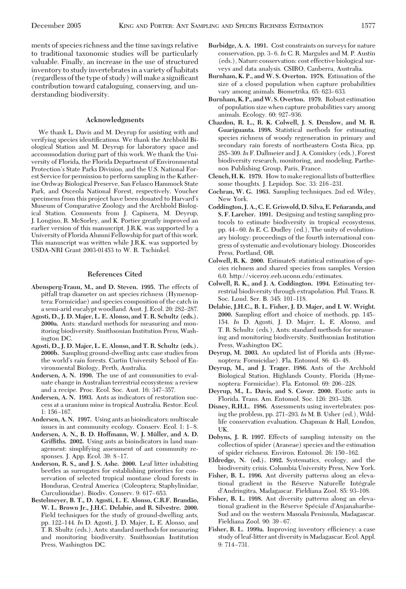ments of species richness and the time savings relative to traditional taxonomic studies will be particularly valuable. Finally, an increase in the use of structured inventory to study invertebrates in a variety of habitats  $(regardless of the type of study) will make a significant$ contribution toward cataloguing, conserving, and understanding biodiversity.

## **Acknowledgments**

We thank L. Davis and M. Deyrup for assisting with and verifying species identifications. We thank the Archbold Biological Station and M. Deyrup for laboratory space and accommodation during part of this work. We thank the University of Florida, the Florida Department of Environmental Protection's State Parks Division, and the U.S. National Forest Service for permission to perform sampling in the Katherine Ordway Biological Preserve, San Felasco Hammock State Park, and Osceola National Forest, respectively. Voucher specimens from this project have been donated to Harvard's Museum of Comparative Zoology and the Archbold Biological Station. Comments from J. Capinera, M. Deyrup, J. Longino, R. McSorley, and K. Portier greatly improved an earlier version of this manuscript. J.R.K. was supported by a University of Florida Alumni Fellowship for part of this work. This manuscript was written while J.R.K. was supported by USDA-NRI Grant 2003-01453 to W. R. Tschinkel.

#### **References Cited**

- **Abensperg-Traun, M., and D. Steven. 1995.** The effects of pitfall trap diameter on ant species richness (Hymenoptera: Formicidae) and species composition of the catch in a semi-arid eucalypt woodland. Aust. J. Ecol. 20: 282-287.
- **Agosti, D., J. D. Majer, L. E. Alonso, and T. R. Schultz (eds.). 2000a.** Ants: standard methods for measuring and monitoring biodiversity. Smithsonian Institution Press, Washington DC.
- **Agosti, D., J. D. Majer, L. E. Alonso, and T. R. Schultz (eds.). 2000b.** Sampling ground-dwelling ants: case studies from the world's rain forests. Curtin University School of Environmental Biology, Perth, Australia.
- **Andersen, A. N. 1990.** The use of ant communities to evaluate change in Australian terrestrial ecosystems: a review and a recipe. Proc. Ecol. Soc. Aust. 16: 347–357.
- **Andersen, A. N. 1993.** Ants as indicators of restoration success at a uranium mine in tropical Australia. Restor. Ecol. 1: 156–167.
- **Andersen, A. N. 1997.** Using ants as bioindicators: multiscale issues in ant community ecology. Conserv. Ecol. 1: 1–8.
- Andersen, A. N., B. D. Hoffmann, W. J. Müller, and A. D. **Griffiths. 2002.** Using ants as bioindicators in land management: simplifying assessment of ant community responses. J. App. Ecol. 39: 8-17.
- **Anderson, R. S., and J. S. Ashe. 2000.** Leaf litter inhabiting beetles as surrogates for establishing priorities for conservation of selected tropical montane cloud forests in Honduras, Central America (Coleoptera; Staphylinidae, Curculionidae). Biodiv. Conserv. 9: 617-653.
- **Bestelmeyer, B. T., D. Agosti, L. E. Alonso, C.R.F. Branda˜o, W. L. Brown Jr., J.H.C. Delabie, and R. Silvestre. 2000.** Field techniques for the study of ground-dwelling ants, pp. 122-144. *In* D. Agosti, J. D. Majer, L. E. Alonso, and T. R. Shultz (eds.), Ants: standard methods for measuring and monitoring biodiversity. Smithsonian Institution Press, Washington DC.
- **Burbidge, A. A. 1991.** Cost constraints on surveys for nature conservation, pp. 3–6. In C. R. Margules and M. P. Austin (eds.), Nature conservation: cost effective biological surveys and data analysis. CSIRO, Canberra, Australia.
- **Burnham, K. P., and W. S. Overton. 1978.** Estimation of the size of a closed population when capture probabilities vary among animals. Biometrika. 65: 623-633.
- **Burnham, K. P., andW. S. Overton. 1979.** Robust estimation of population size when capture probabilities vary among animals. Ecology. 60: 927-936.
- **Chazdon, R. L., R. K. Colwell, J. S. Denslow, and M. R. Guariguanta. 1998.** Statistical methods for estimating species richness of woody regeneration in primary and secondary rain forests of northeastern Costa Rica, pp. 285Ð309.*In*F. Dallmeier and J. A. Comiskey (eds.), Forest biodiversity research, monitoring, and modeling. Parthenon Publishing Group, Paris, France.
- **Clench, H. K. 1979.** How to make regional lists of butterßies: some thoughts. J. Lepidop. Soc. 33: 216-231.
- **Cochran, W. G. 1963.** Sampling techniques. 2nd ed. Wiley, New York.
- **Coddington, J. A., C. E. Griswold, D. Silva, E. Pen˜ aranda, and S. F. Larcher. 1991.** Designing and testing sampling protocols to estimate biodiversity in tropical ecosystems, pp. 44-60. In E. C. Dudley (ed.), The unity of evolutionary biology: proceedings of the fourth international congress of systematic and evolutionary biology. Dioscorides Press, Portland, OR.
- **Colwell, R. K. 2000.** EstimateS: statistical estimation of species richness and shared species from samples. Version 6.0. http://viceroy.eeb.uconn.edu/estimates.
- **Colwell, R. K., and J. A. Coddington. 1994.** Estimating terrestrial biodiversity through extrapolation. Phil. Trans. R. Soc. Lond. Ser. B. 345: 101-118.
- **Delabie, J.H.C., B. L. Fisher, J. D. Majer, and I. W. Wright.** 2000. Sampling effort and choice of methods, pp. 145– 154. *In* D. Agosti, J. D. Majer, L. E. Alonso, and T. R. Schultz (eds.), Ants: standard methods for measuring and monitoring biodiversity. Smithsonian Institution Press, Washington DC.
- **Deyrup, M. 2003.** An updated list of Florida ants (Hymenoptera: Formicidae). Fla. Entomol. 86: 43–48.
- **Deyrup, M., and J. Trager. 1986.** Ants of the Archbold Biological Station, Highlands County, Florida (Hymenoptera: Formicidae). Fla. Entomol. 69: 206-228.
- **Deyrup, M., L. Davis, and S. Cover. 2000.** Exotic ants in Florida. Trans. Am. Entomol. Soc. 126: 293-326.
- **Disney, R.H.L. 1986.** Assessments using invertebrates: posing the problem, pp. 271–293. In M. B. Usher (ed.), Wildlife conservation evaluation. Chapman & Hall, London, UK.
- **Dobyns, J. R. 1997.** Effects of sampling intensity on the collection of spider (Araneae) species and the estimation of spider richness. Environ. Entomol. 26: 150-162.
- **Eldredge, N. (ed.). 1992.** Systematics, ecology, and the biodiversity crisis. Columbia University Press, New York.
- **Fisher, B. L. 1996.** Ant diversity patterns along an elevational gradient in the Réserve Naturelle Intégrale d'Andringitra, Madagascar. Fieldiana Zool. 85: 93-108.
- **Fisher, B. L. 1998.** Ant diversity patterns along an elevational gradient in the Réserve Spéciale d'Anjanaharibe-Sud and on the western Masoala Peninsula, Madagascar. Fieldiana Zool. 90: 39-67.
- **Fisher, B. L. 1999a.** Improving inventory efficiency: a case study of leaf-litter ant diversity in Madagascar. Ecol. Appl. 9: 714-731.